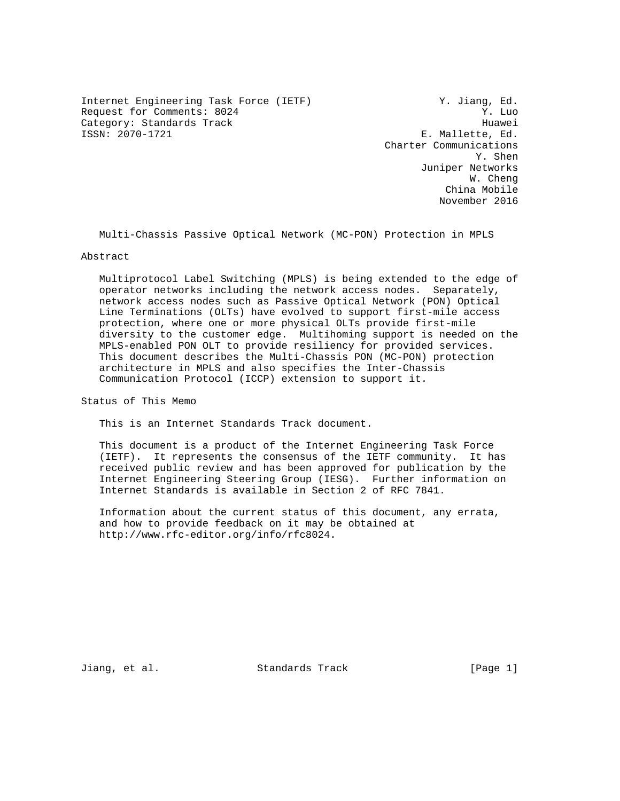Internet Engineering Task Force (IETF) Y. Jiang, Ed. Request for Comments: 8024 Y. Luo Category: Standards Track Huawei<br>
ISSN: 2070-1721 E. Mallette, Ed.

E. Mallette, Ed. Charter Communications Y. Shen Juniper Networks W. Cheng China Mobile November 2016

Multi-Chassis Passive Optical Network (MC-PON) Protection in MPLS

### Abstract

 Multiprotocol Label Switching (MPLS) is being extended to the edge of operator networks including the network access nodes. Separately, network access nodes such as Passive Optical Network (PON) Optical Line Terminations (OLTs) have evolved to support first-mile access protection, where one or more physical OLTs provide first-mile diversity to the customer edge. Multihoming support is needed on the MPLS-enabled PON OLT to provide resiliency for provided services. This document describes the Multi-Chassis PON (MC-PON) protection architecture in MPLS and also specifies the Inter-Chassis Communication Protocol (ICCP) extension to support it.

Status of This Memo

This is an Internet Standards Track document.

 This document is a product of the Internet Engineering Task Force (IETF). It represents the consensus of the IETF community. It has received public review and has been approved for publication by the Internet Engineering Steering Group (IESG). Further information on Internet Standards is available in Section 2 of RFC 7841.

 Information about the current status of this document, any errata, and how to provide feedback on it may be obtained at http://www.rfc-editor.org/info/rfc8024.

Jiang, et al. Standards Track [Page 1]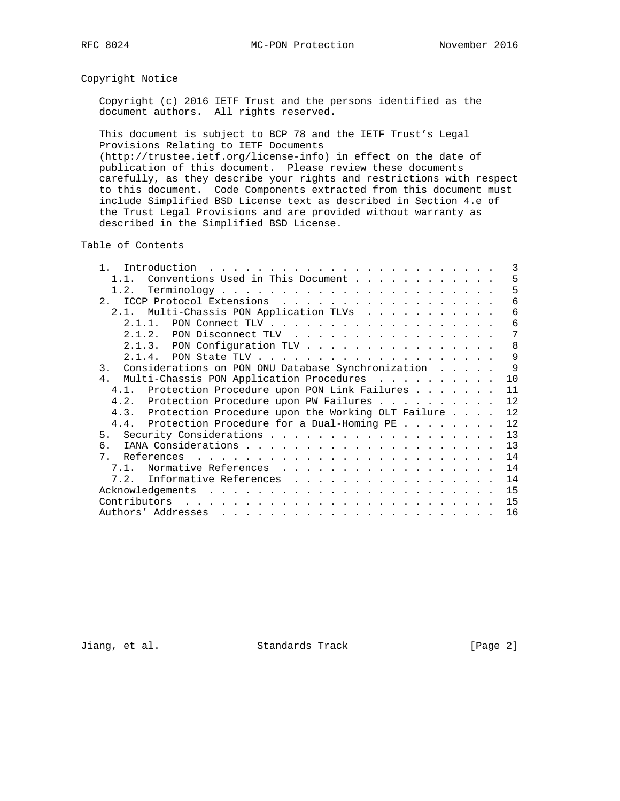# Copyright Notice

 Copyright (c) 2016 IETF Trust and the persons identified as the document authors. All rights reserved.

 This document is subject to BCP 78 and the IETF Trust's Legal Provisions Relating to IETF Documents

 (http://trustee.ietf.org/license-info) in effect on the date of publication of this document. Please review these documents carefully, as they describe your rights and restrictions with respect to this document. Code Components extracted from this document must include Simplified BSD License text as described in Section 4.e of the Trust Legal Provisions and are provided without warranty as described in the Simplified BSD License.

Table of Contents

| Introduction<br><u>. Karl Andrea Stadt Andrea Stadt Andrea Stadt Andrea Stadt Andrea Stadt Andrea Stadt Andrea Stadt Andrea Stadt Andrea Stadt Andrea Stadt Andrea Stadt Andrea Stadt Andrea Stadt Andrea Stadt Andrea Stadt Andrea Stadt Andrea</u> |  |  | 3  |
|------------------------------------------------------------------------------------------------------------------------------------------------------------------------------------------------------------------------------------------------------|--|--|----|
| Conventions Used in This Document<br>1.1.                                                                                                                                                                                                            |  |  | 5  |
| 1.2.                                                                                                                                                                                                                                                 |  |  | 5  |
| ICCP Protocol Extensions<br>$2^{\circ}$                                                                                                                                                                                                              |  |  | 6  |
| 2.1. Multi-Chassis PON Application TLVs                                                                                                                                                                                                              |  |  | 6  |
|                                                                                                                                                                                                                                                      |  |  | 6  |
| 2.1.2. PON Disconnect TLV                                                                                                                                                                                                                            |  |  | 7  |
| 2.1.3. PON Configuration TLV                                                                                                                                                                                                                         |  |  | 8  |
|                                                                                                                                                                                                                                                      |  |  | 9  |
| Considerations on PON ONU Database Synchronization<br>$\overline{3}$ .                                                                                                                                                                               |  |  | 9  |
| Multi-Chassis PON Application Procedures<br>4.                                                                                                                                                                                                       |  |  | 10 |
| 4.1. Protection Procedure upon PON Link Failures                                                                                                                                                                                                     |  |  | 11 |
| 4.2. Protection Procedure upon PW Failures                                                                                                                                                                                                           |  |  | 12 |
| 4.3. Protection Procedure upon the Working OLT Failure                                                                                                                                                                                               |  |  | 12 |
| 4.4. Protection Procedure for a Dual-Homing PE                                                                                                                                                                                                       |  |  | 12 |
| 5.                                                                                                                                                                                                                                                   |  |  | 13 |
| რ.                                                                                                                                                                                                                                                   |  |  | 13 |
| $7_{\circ}$                                                                                                                                                                                                                                          |  |  | 14 |
| Normative References<br>7 1                                                                                                                                                                                                                          |  |  | 14 |
| 7.2. Informative References                                                                                                                                                                                                                          |  |  | 14 |
|                                                                                                                                                                                                                                                      |  |  | 15 |
| Contributors                                                                                                                                                                                                                                         |  |  | 15 |
| Authors' Addresses<br>المناطر المناطر المناطر المناطر المناطر المناطر المناطر المناطر المناطر المناطر المناطر                                                                                                                                        |  |  | 16 |

Jiang, et al. Standards Track [Page 2]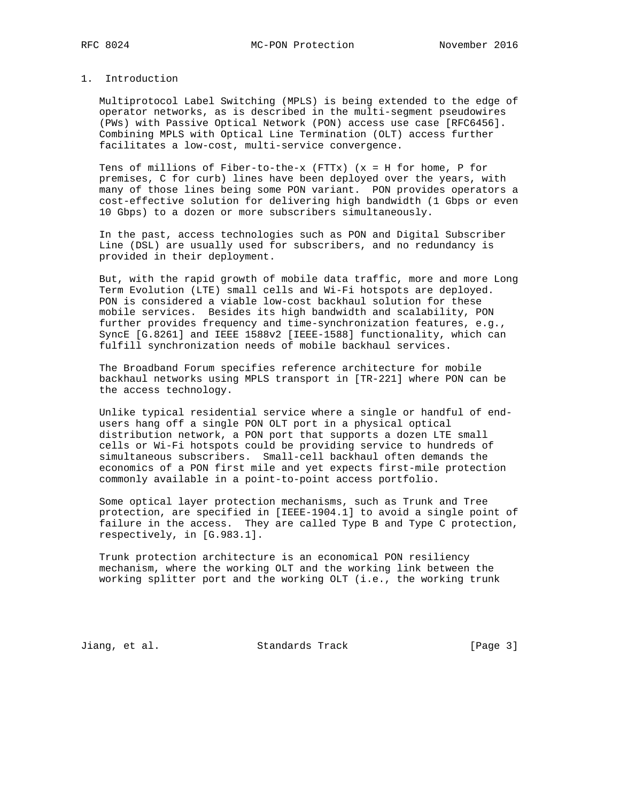# 1. Introduction

 Multiprotocol Label Switching (MPLS) is being extended to the edge of operator networks, as is described in the multi-segment pseudowires (PWs) with Passive Optical Network (PON) access use case [RFC6456]. Combining MPLS with Optical Line Termination (OLT) access further facilitates a low-cost, multi-service convergence.

 Tens of millions of Fiber-to-the-x (FTTx) (x = H for home, P for premises, C for curb) lines have been deployed over the years, with many of those lines being some PON variant. PON provides operators a cost-effective solution for delivering high bandwidth (1 Gbps or even 10 Gbps) to a dozen or more subscribers simultaneously.

 In the past, access technologies such as PON and Digital Subscriber Line (DSL) are usually used for subscribers, and no redundancy is provided in their deployment.

 But, with the rapid growth of mobile data traffic, more and more Long Term Evolution (LTE) small cells and Wi-Fi hotspots are deployed. PON is considered a viable low-cost backhaul solution for these mobile services. Besides its high bandwidth and scalability, PON further provides frequency and time-synchronization features, e.g., SyncE [G.8261] and IEEE 1588v2 [IEEE-1588] functionality, which can fulfill synchronization needs of mobile backhaul services.

 The Broadband Forum specifies reference architecture for mobile backhaul networks using MPLS transport in [TR-221] where PON can be the access technology.

 Unlike typical residential service where a single or handful of end users hang off a single PON OLT port in a physical optical distribution network, a PON port that supports a dozen LTE small cells or Wi-Fi hotspots could be providing service to hundreds of simultaneous subscribers. Small-cell backhaul often demands the economics of a PON first mile and yet expects first-mile protection commonly available in a point-to-point access portfolio.

 Some optical layer protection mechanisms, such as Trunk and Tree protection, are specified in [IEEE-1904.1] to avoid a single point of failure in the access. They are called Type B and Type C protection, respectively, in [G.983.1].

 Trunk protection architecture is an economical PON resiliency mechanism, where the working OLT and the working link between the working splitter port and the working OLT (i.e., the working trunk

Jiang, et al. Standards Track [Page 3]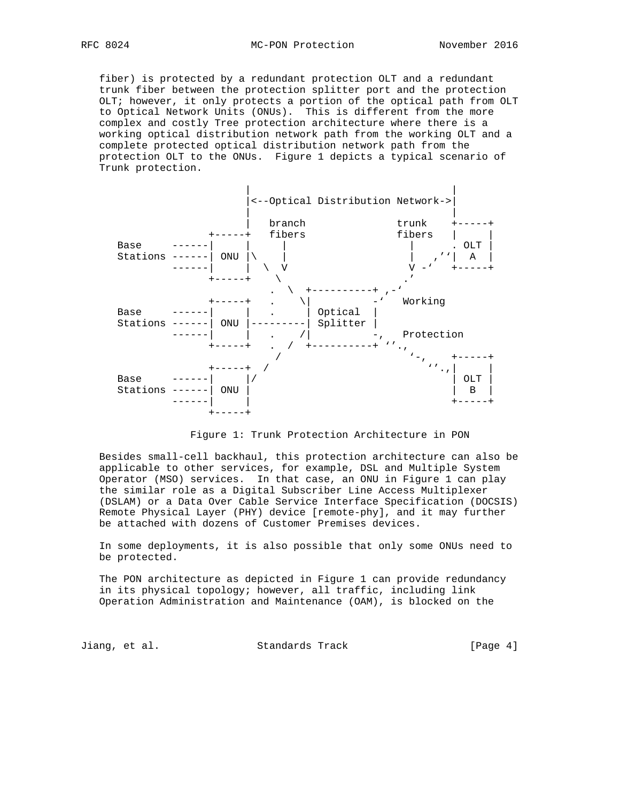fiber) is protected by a redundant protection OLT and a redundant trunk fiber between the protection splitter port and the protection OLT; however, it only protects a portion of the optical path from OLT to Optical Network Units (ONUs). This is different from the more complex and costly Tree protection architecture where there is a working optical distribution network path from the working OLT and a complete protected optical distribution network path from the protection OLT to the ONUs. Figure 1 depicts a typical scenario of Trunk protection.



Figure 1: Trunk Protection Architecture in PON

 Besides small-cell backhaul, this protection architecture can also be applicable to other services, for example, DSL and Multiple System Operator (MSO) services. In that case, an ONU in Figure 1 can play the similar role as a Digital Subscriber Line Access Multiplexer (DSLAM) or a Data Over Cable Service Interface Specification (DOCSIS) Remote Physical Layer (PHY) device [remote-phy], and it may further be attached with dozens of Customer Premises devices.

 In some deployments, it is also possible that only some ONUs need to be protected.

 The PON architecture as depicted in Figure 1 can provide redundancy in its physical topology; however, all traffic, including link Operation Administration and Maintenance (OAM), is blocked on the

Jiang, et al. Standards Track [Page 4]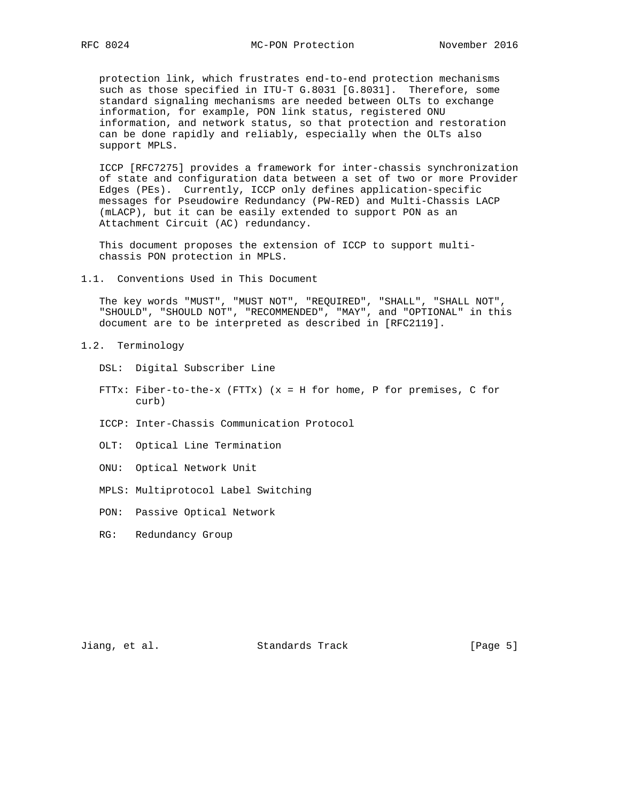protection link, which frustrates end-to-end protection mechanisms such as those specified in ITU-T G.8031 [G.8031]. Therefore, some standard signaling mechanisms are needed between OLTs to exchange information, for example, PON link status, registered ONU information, and network status, so that protection and restoration can be done rapidly and reliably, especially when the OLTs also support MPLS.

 ICCP [RFC7275] provides a framework for inter-chassis synchronization of state and configuration data between a set of two or more Provider Edges (PEs). Currently, ICCP only defines application-specific messages for Pseudowire Redundancy (PW-RED) and Multi-Chassis LACP (mLACP), but it can be easily extended to support PON as an Attachment Circuit (AC) redundancy.

 This document proposes the extension of ICCP to support multi chassis PON protection in MPLS.

1.1. Conventions Used in This Document

 The key words "MUST", "MUST NOT", "REQUIRED", "SHALL", "SHALL NOT", "SHOULD", "SHOULD NOT", "RECOMMENDED", "MAY", and "OPTIONAL" in this document are to be interpreted as described in [RFC2119].

- 1.2. Terminology
	- DSL: Digital Subscriber Line
	- FTTx: Fiber-to-the-x (FTTx) (x = H for home, P for premises, C for curb)
	- ICCP: Inter-Chassis Communication Protocol
	- OLT: Optical Line Termination
	- ONU: Optical Network Unit
	- MPLS: Multiprotocol Label Switching
	- PON: Passive Optical Network
	- RG: Redundancy Group

Jiang, et al. Standards Track [Page 5]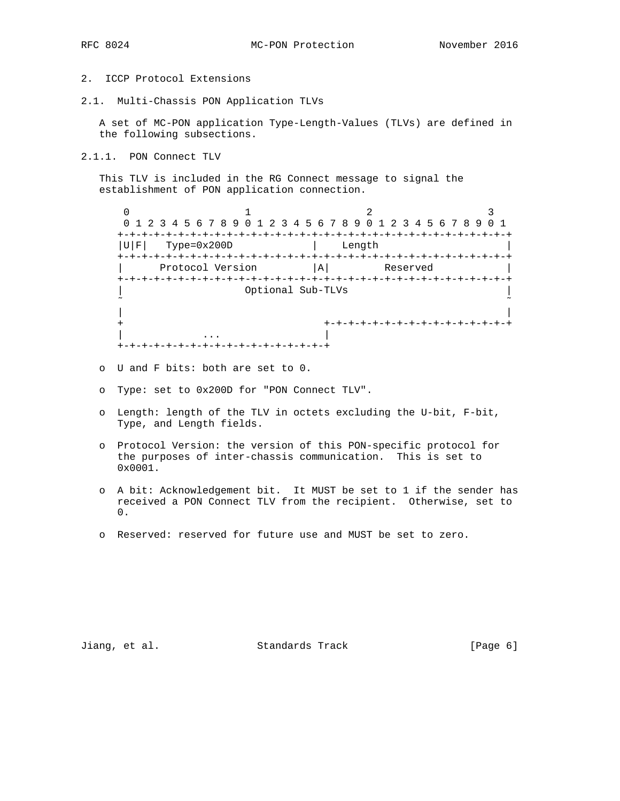- 
- 2. ICCP Protocol Extensions
- 2.1. Multi-Chassis PON Application TLVs

 A set of MC-PON application Type-Length-Values (TLVs) are defined in the following subsections.

2.1.1. PON Connect TLV

 This TLV is included in the RG Connect message to signal the establishment of PON application connection.

 $0$  1 2 3 0 1 2 3 4 5 6 7 8 9 0 1 2 3 4 5 6 7 8 9 0 1 2 3 4 5 6 7 8 9 0 1 +-+-+-+-+-+-+-+-+-+-+-+-+-+-+-+-+-+-+-+-+-+-+-+-+-+-+-+-+-+-+-+-+  $|U|F|$  Type=0x200D | Length +-+-+-+-+-+-+-+-+-+-+-+-+-+-+-+-+-+-+-+-+-+-+-+-+-+-+-+-+-+-+-+-+ Protocol Version  $|A|$  Reserved +-+-+-+-+-+-+-+-+-+-+-+-+-+-+-+-+-+-+-+-+-+-+-+-+-+-+-+-+-+-+-+-+ | Optional Sub-TLVs | ˜ ˜ | | + +-+-+-+-+-+-+-+-+-+-+-+-+-+-+-+ | ... | ... | ... | ... | ... | ... | ... | ... | ... | ... | ... | ... | ... | ... | ... | ... | ... | ... | . +-+-+-+-+-+-+-+-+-+-+-+-+-+-+-+-+-+

- o U and F bits: both are set to 0.
- o Type: set to 0x200D for "PON Connect TLV".
- o Length: length of the TLV in octets excluding the U-bit, F-bit, Type, and Length fields.
- o Protocol Version: the version of this PON-specific protocol for the purposes of inter-chassis communication. This is set to 0x0001.
- o A bit: Acknowledgement bit. It MUST be set to 1 if the sender has received a PON Connect TLV from the recipient. Otherwise, set to 0.
- o Reserved: reserved for future use and MUST be set to zero.

Jiang, et al. Standards Track [Page 6]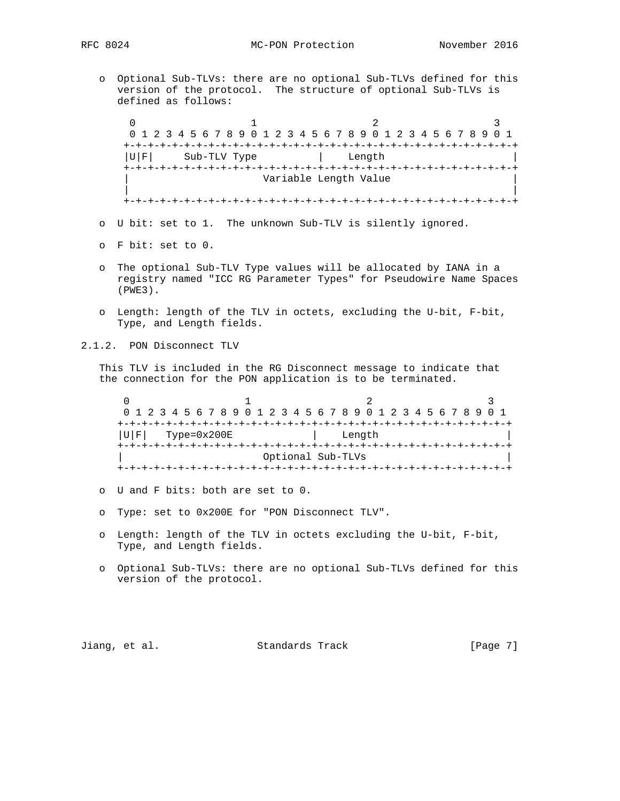o Optional Sub-TLVs: there are no optional Sub-TLVs defined for this version of the protocol. The structure of optional Sub-TLVs is defined as follows:

 $0$  1 2 3 0 1 2 3 4 5 6 7 8 9 0 1 2 3 4 5 6 7 8 9 0 1 2 3 4 5 6 7 8 9 0 1 +-+-+-+-+-+-+-+-+-+-+-+-+-+-+-+-+-+-+-+-+-+-+-+-+-+-+-+-+-+-+-+-+ |U|F| Sub-TLV Type | Length +-+-+-+-+-+-+-+-+-+-+-+-+-+-+-+-+-+-+-+-+-+-+-+-+-+-+-+-+-+-+-+-+ Variable Length Value | | +-+-+-+-+-+-+-+-+-+-+-+-+-+-+-+-+-+-+-+-+-+-+-+-+-+-+-+-+-+-+-+-+

- o U bit: set to 1. The unknown Sub-TLV is silently ignored.
- o F bit: set to 0.
- o The optional Sub-TLV Type values will be allocated by IANA in a registry named "ICC RG Parameter Types" for Pseudowire Name Spaces (PWE3).
- o Length: length of the TLV in octets, excluding the U-bit, F-bit, Type, and Length fields.

2.1.2. PON Disconnect TLV

 This TLV is included in the RG Disconnect message to indicate that the connection for the PON application is to be terminated.

0  $1$  2 3 0 1 2 3 4 5 6 7 8 9 0 1 2 3 4 5 6 7 8 9 0 1 2 3 4 5 6 7 8 9 0 1 +-+-+-+-+-+-+-+-+-+-+-+-+-+-+-+-+-+-+-+-+-+-+-+-+-+-+-+-+-+-+-+-+ |U|F| Type=0x200E | Length | +-+-+-+-+-+-+-+-+-+-+-+-+-+-+-+-+-+-+-+-+-+-+-+-+-+-+-+-+-+-+-+-+ | Optional Sub-TLVs | +-+-+-+-+-+-+-+-+-+-+-+-+-+-+-+-+-+-+-+-+-+-+-+-+-+-+-+-+-+-+-+-+

- o U and F bits: both are set to 0.
- o Type: set to 0x200E for "PON Disconnect TLV".
- o Length: length of the TLV in octets excluding the U-bit, F-bit, Type, and Length fields.
- o Optional Sub-TLVs: there are no optional Sub-TLVs defined for this version of the protocol.

Jiang, et al. Standards Track [Page 7]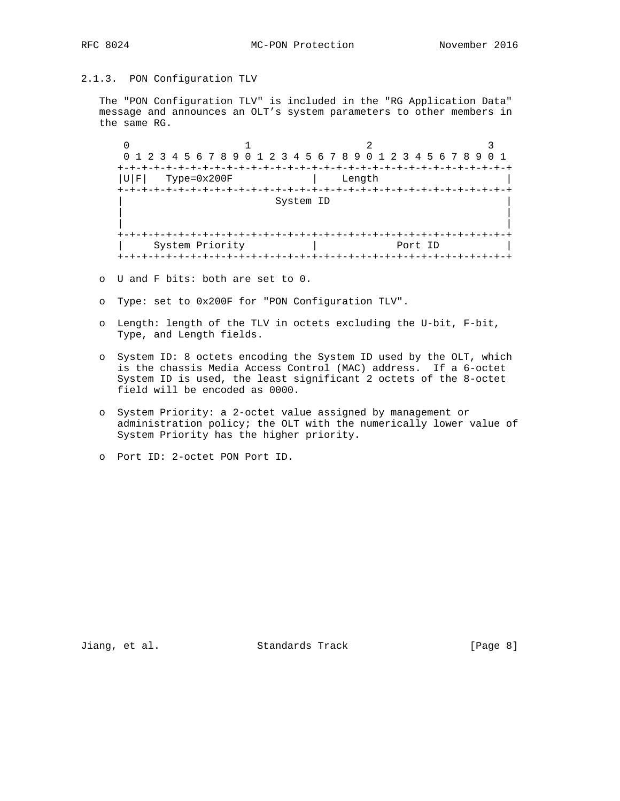# 2.1.3. PON Configuration TLV

 The "PON Configuration TLV" is included in the "RG Application Data" message and announces an OLT's system parameters to other members in the same RG.

 $0$  1 2 3 0 1 2 3 4 5 6 7 8 9 0 1 2 3 4 5 6 7 8 9 0 1 2 3 4 5 6 7 8 9 0 1 +-+-+-+-+-+-+-+-+-+-+-+-+-+-+-+-+-+-+-+-+-+-+-+-+-+-+-+-+-+-+-+-+  $|U|F| \qquad \text{Type=0x200F} \qquad \qquad \vert \qquad \text{Length}$  +-+-+-+-+-+-+-+-+-+-+-+-+-+-+-+-+-+-+-+-+-+-+-+-+-+-+-+-+-+-+-+-+ System ID | | | | +-+-+-+-+-+-+-+-+-+-+-+-+-+-+-+-+-+-+-+-+-+-+-+-+-+-+-+-+-+-+-+-+ | System Priority | Port ID | +-+-+-+-+-+-+-+-+-+-+-+-+-+-+-+-+-+-+-+-+-+-+-+-+-+-+-+-+-+-+-+-+

o U and F bits: both are set to 0.

- o Type: set to 0x200F for "PON Configuration TLV".
- o Length: length of the TLV in octets excluding the U-bit, F-bit, Type, and Length fields.
- o System ID: 8 octets encoding the System ID used by the OLT, which is the chassis Media Access Control (MAC) address. If a 6-octet System ID is used, the least significant 2 octets of the 8-octet field will be encoded as 0000.
- o System Priority: a 2-octet value assigned by management or administration policy; the OLT with the numerically lower value of System Priority has the higher priority.

Jiang, et al. Standards Track [Page 8]

o Port ID: 2-octet PON Port ID.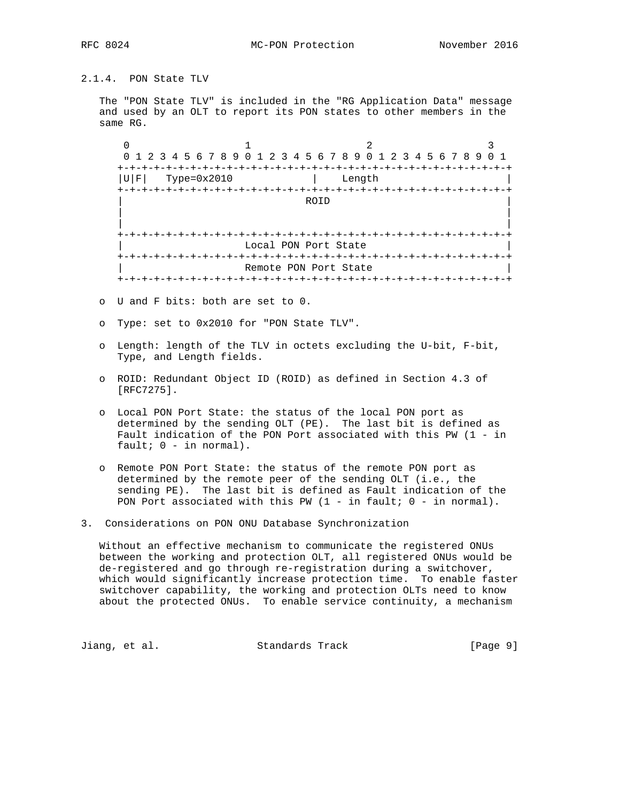# 2.1.4. PON State TLV

 The "PON State TLV" is included in the "RG Application Data" message and used by an OLT to report its PON states to other members in the same RG.

 $0$  1 2 3 0 1 2 3 4 5 6 7 8 9 0 1 2 3 4 5 6 7 8 9 0 1 2 3 4 5 6 7 8 9 0 1 +-+-+-+-+-+-+-+-+-+-+-+-+-+-+-+-+-+-+-+-+-+-+-+-+-+-+-+-+-+-+-+-+  $|U|F|$  Type=0x2010  $|$  Length +-+-+-+-+-+-+-+-+-+-+-+-+-+-+-+-+-+-+-+-+-+-+-+-+-+-+-+-+-+-+-+-+ | ROID | | | | | +-+-+-+-+-+-+-+-+-+-+-+-+-+-+-+-+-+-+-+-+-+-+-+-+-+-+-+-+-+-+-+-+ Local PON Port State +-+-+-+-+-+-+-+-+-+-+-+-+-+-+-+-+-+-+-+-+-+-+-+-+-+-+-+-+-+-+-+-+ Remote PON Port State +-+-+-+-+-+-+-+-+-+-+-+-+-+-+-+-+-+-+-+-+-+-+-+-+-+-+-+-+-+-+-+-+

- o U and F bits: both are set to 0.
- o Type: set to 0x2010 for "PON State TLV".
- o Length: length of the TLV in octets excluding the U-bit, F-bit, Type, and Length fields.
- o ROID: Redundant Object ID (ROID) as defined in Section 4.3 of [RFC7275].
- o Local PON Port State: the status of the local PON port as determined by the sending OLT (PE). The last bit is defined as Fault indication of the PON Port associated with this PW (1 - in fault;  $0 - in normal$ .
- o Remote PON Port State: the status of the remote PON port as determined by the remote peer of the sending OLT (i.e., the sending PE). The last bit is defined as Fault indication of the PON Port associated with this PW (1 - in fault; 0 - in normal).
- 3. Considerations on PON ONU Database Synchronization

 Without an effective mechanism to communicate the registered ONUs between the working and protection OLT, all registered ONUs would be de-registered and go through re-registration during a switchover, which would significantly increase protection time. To enable faster switchover capability, the working and protection OLTs need to know about the protected ONUs. To enable service continuity, a mechanism

Jiang, et al. Standards Track [Page 9]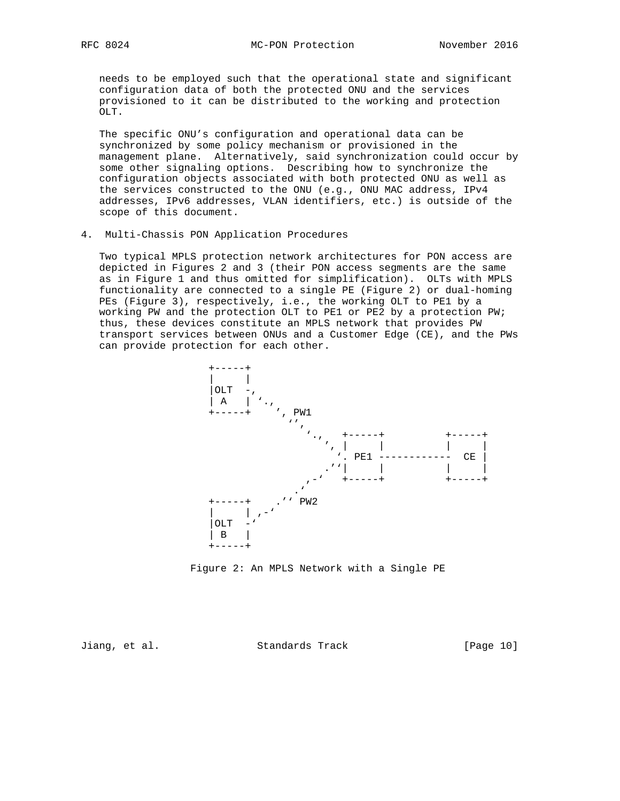needs to be employed such that the operational state and significant configuration data of both the protected ONU and the services provisioned to it can be distributed to the working and protection OLT.

 The specific ONU's configuration and operational data can be synchronized by some policy mechanism or provisioned in the management plane. Alternatively, said synchronization could occur by some other signaling options. Describing how to synchronize the configuration objects associated with both protected ONU as well as the services constructed to the ONU (e.g., ONU MAC address, IPv4 addresses, IPv6 addresses, VLAN identifiers, etc.) is outside of the scope of this document.

4. Multi-Chassis PON Application Procedures

 Two typical MPLS protection network architectures for PON access are depicted in Figures 2 and 3 (their PON access segments are the same as in Figure 1 and thus omitted for simplification). OLTs with MPLS functionality are connected to a single PE (Figure 2) or dual-homing PEs (Figure 3), respectively, i.e., the working OLT to PE1 by a working PW and the protection OLT to PE1 or PE2 by a protection PW; thus, these devices constitute an MPLS network that provides PW transport services between ONUs and a Customer Edge (CE), and the PWs can provide protection for each other.



Figure 2: An MPLS Network with a Single PE

Jiang, et al. Standards Track [Page 10]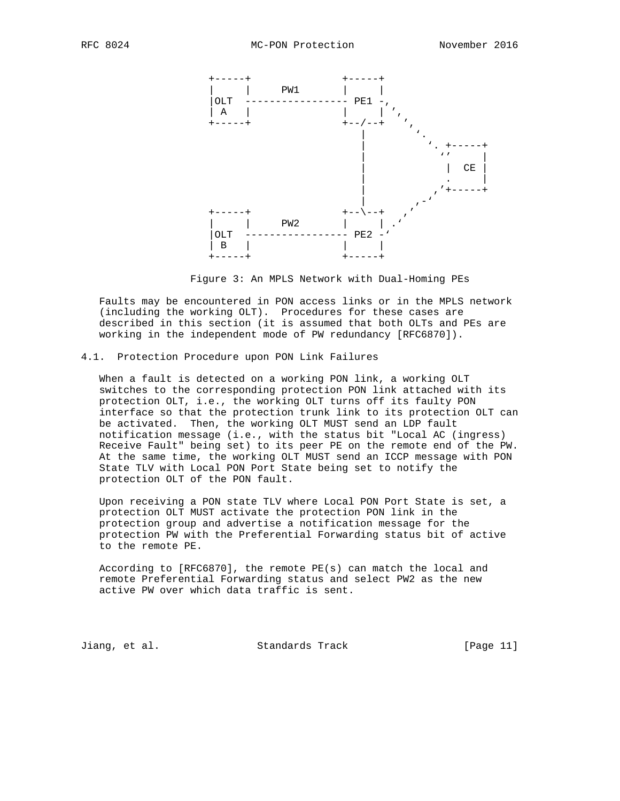

Figure 3: An MPLS Network with Dual-Homing PEs

 Faults may be encountered in PON access links or in the MPLS network (including the working OLT). Procedures for these cases are described in this section (it is assumed that both OLTs and PEs are working in the independent mode of PW redundancy [RFC6870]).

### 4.1. Protection Procedure upon PON Link Failures

 When a fault is detected on a working PON link, a working OLT switches to the corresponding protection PON link attached with its protection OLT, i.e., the working OLT turns off its faulty PON interface so that the protection trunk link to its protection OLT can be activated. Then, the working OLT MUST send an LDP fault notification message (i.e., with the status bit "Local AC (ingress) Receive Fault" being set) to its peer PE on the remote end of the PW. At the same time, the working OLT MUST send an ICCP message with PON State TLV with Local PON Port State being set to notify the protection OLT of the PON fault.

 Upon receiving a PON state TLV where Local PON Port State is set, a protection OLT MUST activate the protection PON link in the protection group and advertise a notification message for the protection PW with the Preferential Forwarding status bit of active to the remote PE.

 According to [RFC6870], the remote PE(s) can match the local and remote Preferential Forwarding status and select PW2 as the new active PW over which data traffic is sent.

Jiang, et al. Standards Track [Page 11]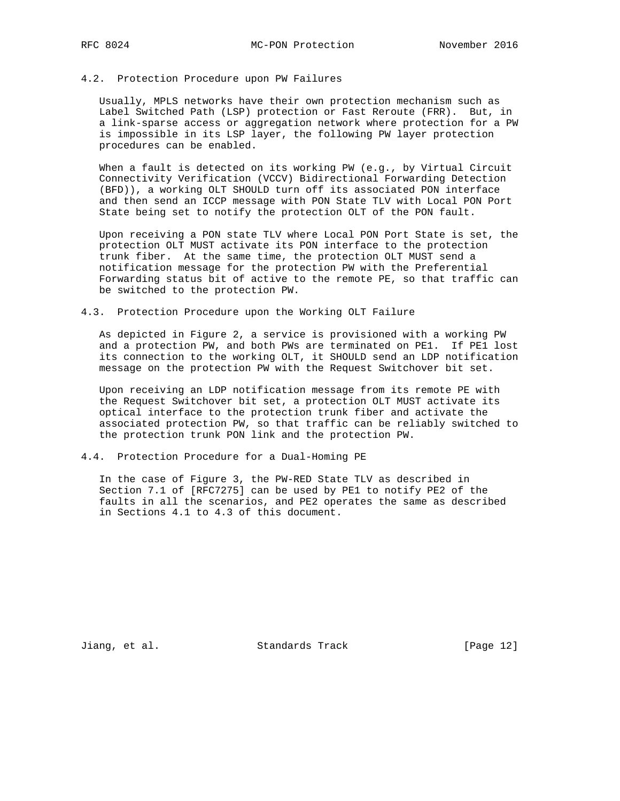### 4.2. Protection Procedure upon PW Failures

 Usually, MPLS networks have their own protection mechanism such as Label Switched Path (LSP) protection or Fast Reroute (FRR). But, in a link-sparse access or aggregation network where protection for a PW is impossible in its LSP layer, the following PW layer protection procedures can be enabled.

 When a fault is detected on its working PW (e.g., by Virtual Circuit Connectivity Verification (VCCV) Bidirectional Forwarding Detection (BFD)), a working OLT SHOULD turn off its associated PON interface and then send an ICCP message with PON State TLV with Local PON Port State being set to notify the protection OLT of the PON fault.

 Upon receiving a PON state TLV where Local PON Port State is set, the protection OLT MUST activate its PON interface to the protection trunk fiber. At the same time, the protection OLT MUST send a notification message for the protection PW with the Preferential Forwarding status bit of active to the remote PE, so that traffic can be switched to the protection PW.

## 4.3. Protection Procedure upon the Working OLT Failure

 As depicted in Figure 2, a service is provisioned with a working PW and a protection PW, and both PWs are terminated on PE1. If PE1 lost its connection to the working OLT, it SHOULD send an LDP notification message on the protection PW with the Request Switchover bit set.

 Upon receiving an LDP notification message from its remote PE with the Request Switchover bit set, a protection OLT MUST activate its optical interface to the protection trunk fiber and activate the associated protection PW, so that traffic can be reliably switched to the protection trunk PON link and the protection PW.

## 4.4. Protection Procedure for a Dual-Homing PE

 In the case of Figure 3, the PW-RED State TLV as described in Section 7.1 of [RFC7275] can be used by PE1 to notify PE2 of the faults in all the scenarios, and PE2 operates the same as described in Sections 4.1 to 4.3 of this document.

Jiang, et al. Standards Track [Page 12]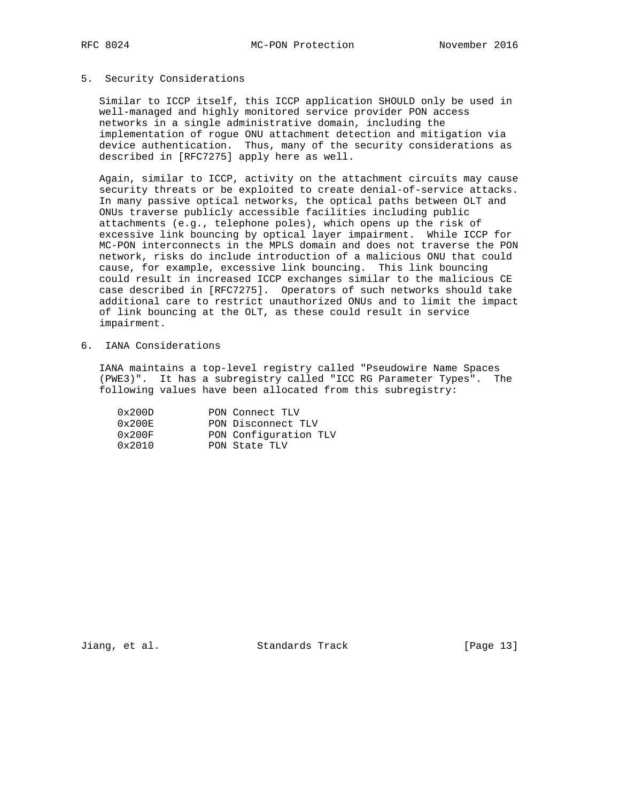### 5. Security Considerations

 Similar to ICCP itself, this ICCP application SHOULD only be used in well-managed and highly monitored service provider PON access networks in a single administrative domain, including the implementation of rogue ONU attachment detection and mitigation via device authentication. Thus, many of the security considerations as described in [RFC7275] apply here as well.

 Again, similar to ICCP, activity on the attachment circuits may cause security threats or be exploited to create denial-of-service attacks. In many passive optical networks, the optical paths between OLT and ONUs traverse publicly accessible facilities including public attachments (e.g., telephone poles), which opens up the risk of excessive link bouncing by optical layer impairment. While ICCP for MC-PON interconnects in the MPLS domain and does not traverse the PON network, risks do include introduction of a malicious ONU that could cause, for example, excessive link bouncing. This link bouncing could result in increased ICCP exchanges similar to the malicious CE case described in [RFC7275]. Operators of such networks should take additional care to restrict unauthorized ONUs and to limit the impact of link bouncing at the OLT, as these could result in service impairment.

6. IANA Considerations

 IANA maintains a top-level registry called "Pseudowire Name Spaces (PWE3)". It has a subregistry called "ICC RG Parameter Types". The following values have been allocated from this subregistry:

| 0x200D          | PON Connect TLV       |
|-----------------|-----------------------|
| $0 \times 200E$ | PON Disconnect TLV    |
| 0x200F          | PON Configuration TLV |
| $0 \times 2010$ | PON State TLV         |

Jiang, et al. Standards Track [Page 13]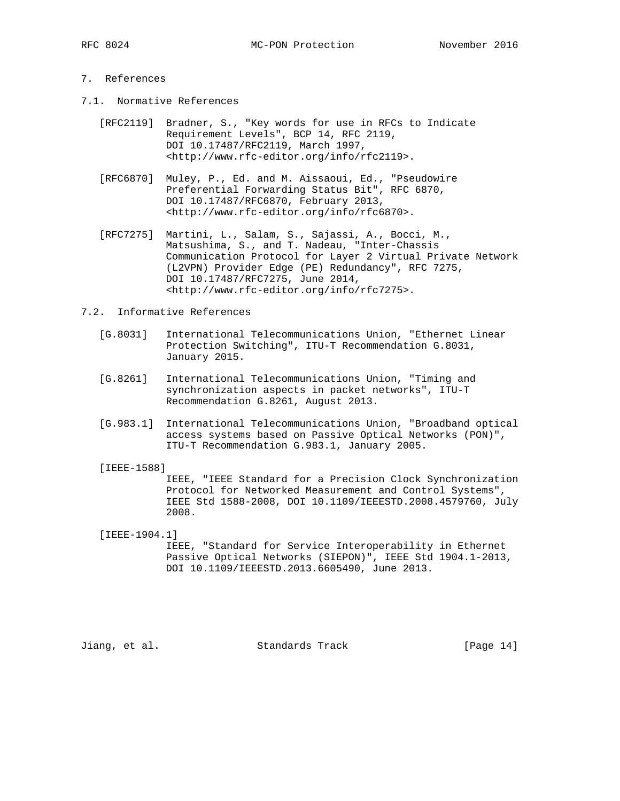# 7. References

- 7.1. Normative References
	- [RFC2119] Bradner, S., "Key words for use in RFCs to Indicate Requirement Levels", BCP 14, RFC 2119, DOI 10.17487/RFC2119, March 1997, <http://www.rfc-editor.org/info/rfc2119>.
	- [RFC6870] Muley, P., Ed. and M. Aissaoui, Ed., "Pseudowire Preferential Forwarding Status Bit", RFC 6870, DOI 10.17487/RFC6870, February 2013, <http://www.rfc-editor.org/info/rfc6870>.
	- [RFC7275] Martini, L., Salam, S., Sajassi, A., Bocci, M., Matsushima, S., and T. Nadeau, "Inter-Chassis Communication Protocol for Layer 2 Virtual Private Network (L2VPN) Provider Edge (PE) Redundancy", RFC 7275, DOI 10.17487/RFC7275, June 2014, <http://www.rfc-editor.org/info/rfc7275>.

## 7.2. Informative References

- [G.8031] International Telecommunications Union, "Ethernet Linear Protection Switching", ITU-T Recommendation G.8031, January 2015.
- [G.8261] International Telecommunications Union, "Timing and synchronization aspects in packet networks", ITU-T Recommendation G.8261, August 2013.
- [G.983.1] International Telecommunications Union, "Broadband optical access systems based on Passive Optical Networks (PON)", ITU-T Recommendation G.983.1, January 2005.

[IEEE-1588]

 IEEE, "IEEE Standard for a Precision Clock Synchronization Protocol for Networked Measurement and Control Systems", IEEE Std 1588-2008, DOI 10.1109/IEEESTD.2008.4579760, July 2008.

 [IEEE-1904.1] IEEE, "Standard for Service Interoperability in Ethernet Passive Optical Networks (SIEPON)", IEEE Std 1904.1-2013, DOI 10.1109/IEEESTD.2013.6605490, June 2013.

Jiang, et al. Standards Track [Page 14]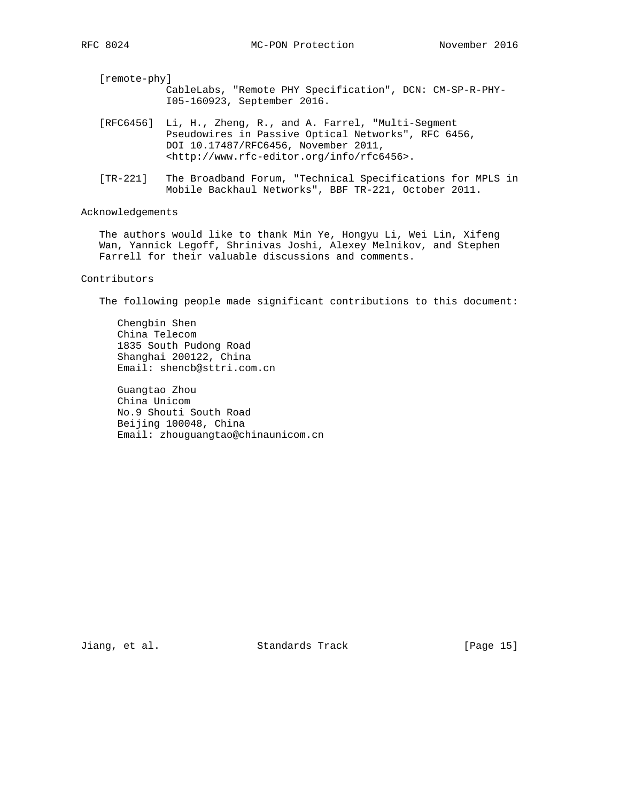| [remote-phy] |                                                                                                                                                                                                                        |
|--------------|------------------------------------------------------------------------------------------------------------------------------------------------------------------------------------------------------------------------|
|              | CableLabs, "Remote PHY Specification", DCN: CM-SP-R-PHY-<br>I05-160923, September 2016.                                                                                                                                |
|              | [RFC6456] Li, H., Zheng, R., and A. Farrel, "Multi-Segment<br>Pseudowires in Passive Optical Networks", RFC 6456,<br>DOI 10.17487/RFC6456, November 2011,<br><http: info="" rfc6456="" www.rfc-editor.org="">.</http:> |

 [TR-221] The Broadband Forum, "Technical Specifications for MPLS in Mobile Backhaul Networks", BBF TR-221, October 2011.

### Acknowledgements

 The authors would like to thank Min Ye, Hongyu Li, Wei Lin, Xifeng Wan, Yannick Legoff, Shrinivas Joshi, Alexey Melnikov, and Stephen Farrell for their valuable discussions and comments.

### Contributors

The following people made significant contributions to this document:

 Chengbin Shen China Telecom 1835 South Pudong Road Shanghai 200122, China Email: shencb@sttri.com.cn

 Guangtao Zhou China Unicom No.9 Shouti South Road Beijing 100048, China Email: zhouguangtao@chinaunicom.cn

Jiang, et al. Standards Track [Page 15]